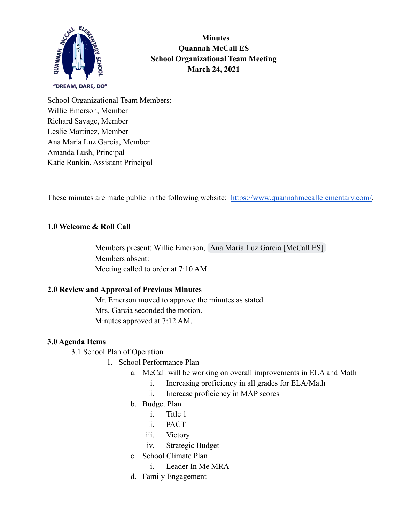

**Minutes Quannah McCall ES School Organizational Team Meeting March 24, 2021**

School Organizational Team Members: Willie Emerson, Member Richard Savage, Member Leslie Martinez, Member Ana Maria Luz Garcia, Member Amanda Lush, Principal Katie Rankin, Assistant Principal

These minutes are made public in the following website: [https://www.quannahmccallelementary.com/.](https://www.quannahmccallelementary.com/)

### **1.0 Welcome & Roll Call**

Members present: Willie Emerson, [Ana Maria Luz Garcia \[McCall ES\]](mailto:garcia26@nv.ccsd.net) Members absent: Meeting called to order at 7:10 AM.

### **2.0 Review and Approval of Previous Minutes**

Mr. Emerson moved to approve the minutes as stated. Mrs. Garcia seconded the motion. Minutes approved at 7:12 AM.

#### **3.0 Agenda Items**

3.1 School Plan of Operation

- 1. School Performance Plan
	- a. McCall will be working on overall improvements in ELA and Math
		- i. Increasing proficiency in all grades for ELA/Math
		- ii. Increase proficiency in MAP scores
	- b. Budget Plan
		- i. Title 1
		- ii. PACT
		- iii. Victory
		- iv. Strategic Budget
	- c. School Climate Plan
		- i. Leader In Me MRA
	- d. Family Engagement